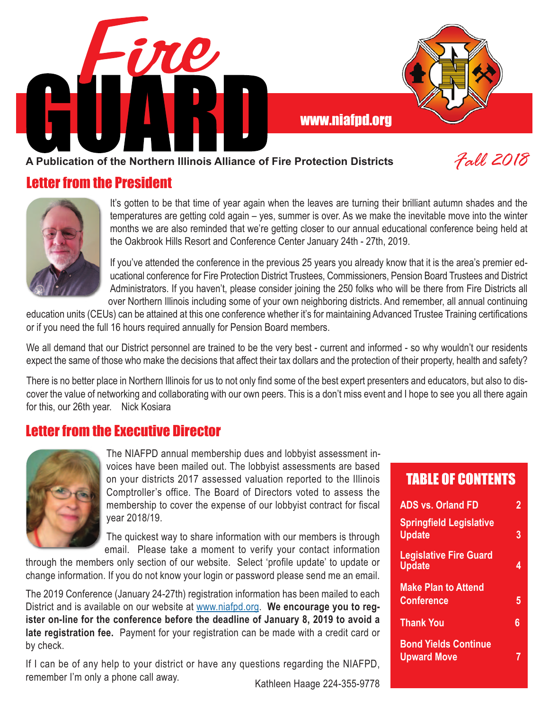

### **A Publication of the Northern Illinois Alliance of Fire Protection Districts**

### Letter from the President



It's gotten to be that time of year again when the leaves are turning their brilliant autumn shades and the temperatures are getting cold again – yes, summer is over. As we make the inevitable move into the winter months we are also reminded that we're getting closer to our annual educational conference being held at the Oakbrook Hills Resort and Conference Center January 24th - 27th, 2019.

If you've attended the conference in the previous 25 years you already know that it is the area's premier educational conference for Fire Protection District Trustees, Commissioners, Pension Board Trustees and District Administrators. If you haven't, please consider joining the 250 folks who will be there from Fire Districts all over Northern Illinois including some of your own neighboring districts. And remember, all annual continuing

education units (CEUs) can be attained at this one conference whether it's for maintaining Advanced Trustee Training certifications or if you need the full 16 hours required annually for Pension Board members.

We all demand that our District personnel are trained to be the very best - current and informed - so why wouldn't our residents expect the same of those who make the decisions that affect their tax dollars and the protection of their property, health and safety?

There is no better place in Northern Illinois for us to not only find some of the best expert presenters and educators, but also to discover the value of networking and collaborating with our own peers. This is a don't miss event and I hope to see you all there again for this, our 26th year. Nick Kosiara

### Letter from the Executive Director



The NIAFPD annual membership dues and lobbyist assessment invoices have been mailed out. The lobbyist assessments are based on your districts 2017 assessed valuation reported to the Illinois Comptroller's office. The Board of Directors voted to assess the membership to cover the expense of our lobbyist contract for fiscal year 2018/19.

The quickest way to share information with our members is through email. Please take a moment to verify your contact information

through the members only section of our website. Select 'profile update' to update or change information. If you do not know your login or password please send me an email.

The 2019 Conference (January 24-27th) registration information has been mailed to each District and is available on our website at www.niafpd.org. **We encourage you to register on-line for the conference before the deadline of January 8, 2019 to avoid a late registration fee.** Payment for your registration can be made with a credit card or by check.

If I can be of any help to your district or have any questions regarding the NIAFPD, remember I'm only a phone call away.<br>
Kathleen Haage 224-355-9778

### TABLE OF CONTENTS

| <b>ADS vs. Orland FD</b>                          | 2 |
|---------------------------------------------------|---|
| <b>Springfield Legislative</b><br><b>Update</b>   | 3 |
| <b>Legislative Fire Guard</b><br><b>Update</b>    | 4 |
| <b>Make Plan to Attend</b><br><b>Conference</b>   | 5 |
| <b>Thank You</b>                                  | 6 |
| <b>Bond Yields Continue</b><br><b>Upward Move</b> |   |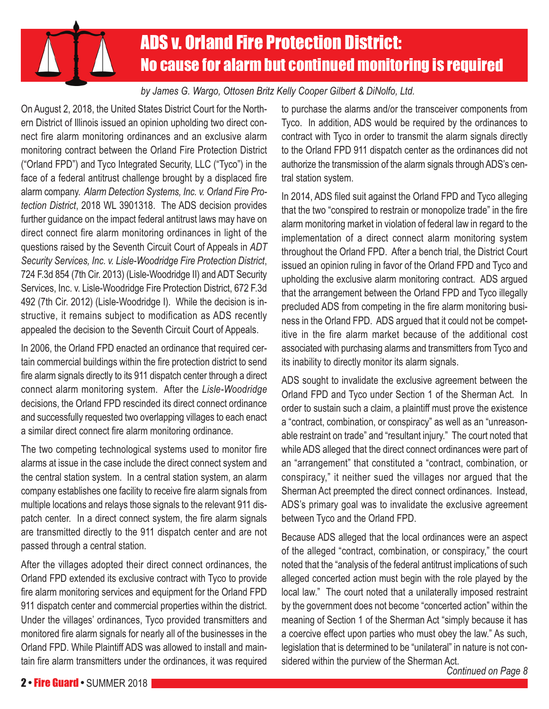# ADS v. Orland Fire Protection District: No cause for alarm but continued monitoring is required

### *by James G. Wargo, Ottosen Britz Kelly Cooper Gilbert & DiNolfo, Ltd.*

On August 2, 2018, the United States District Court for the Northern District of Illinois issued an opinion upholding two direct connect fire alarm monitoring ordinances and an exclusive alarm monitoring contract between the Orland Fire Protection District ("Orland FPD") and Tyco Integrated Security, LLC ("Tyco") in the face of a federal antitrust challenge brought by a displaced fire alarm company. *Alarm Detection Systems, Inc. v. Orland Fire Protection District*, 2018 WL 3901318. The ADS decision provides further guidance on the impact federal antitrust laws may have on direct connect fire alarm monitoring ordinances in light of the questions raised by the Seventh Circuit Court of Appeals in *ADT Security Services, Inc. v. Lisle-Woodridge Fire Protection District*, 724 F.3d 854 (7th Cir. 2013) (Lisle-Woodridge II) and ADT Security Services, Inc. v. Lisle-Woodridge Fire Protection District, 672 F.3d 492 (7th Cir. 2012) (Lisle-Woodridge I). While the decision is instructive, it remains subject to modification as ADS recently appealed the decision to the Seventh Circuit Court of Appeals.

In 2006, the Orland FPD enacted an ordinance that required certain commercial buildings within the fire protection district to send fire alarm signals directly to its 911 dispatch center through a direct connect alarm monitoring system. After the *Lisle-Woodridge* decisions, the Orland FPD rescinded its direct connect ordinance and successfully requested two overlapping villages to each enact a similar direct connect fire alarm monitoring ordinance.

The two competing technological systems used to monitor fire alarms at issue in the case include the direct connect system and the central station system. In a central station system, an alarm company establishes one facility to receive fire alarm signals from multiple locations and relays those signals to the relevant 911 dispatch center. In a direct connect system, the fire alarm signals are transmitted directly to the 911 dispatch center and are not passed through a central station.

After the villages adopted their direct connect ordinances, the Orland FPD extended its exclusive contract with Tyco to provide fire alarm monitoring services and equipment for the Orland FPD 911 dispatch center and commercial properties within the district. Under the villages' ordinances, Tyco provided transmitters and monitored fire alarm signals for nearly all of the businesses in the Orland FPD. While Plaintiff ADS was allowed to install and maintain fire alarm transmitters under the ordinances, it was required to purchase the alarms and/or the transceiver components from Tyco. In addition, ADS would be required by the ordinances to contract with Tyco in order to transmit the alarm signals directly to the Orland FPD 911 dispatch center as the ordinances did not authorize the transmission of the alarm signals through ADS's central station system.

In 2014, ADS filed suit against the Orland FPD and Tyco alleging that the two "conspired to restrain or monopolize trade" in the fire alarm monitoring market in violation of federal law in regard to the implementation of a direct connect alarm monitoring system throughout the Orland FPD. After a bench trial, the District Court issued an opinion ruling in favor of the Orland FPD and Tyco and upholding the exclusive alarm monitoring contract. ADS argued that the arrangement between the Orland FPD and Tyco illegally precluded ADS from competing in the fire alarm monitoring business in the Orland FPD. ADS argued that it could not be competitive in the fire alarm market because of the additional cost associated with purchasing alarms and transmitters from Tyco and its inability to directly monitor its alarm signals.

ADS sought to invalidate the exclusive agreement between the Orland FPD and Tyco under Section 1 of the Sherman Act. In order to sustain such a claim, a plaintiff must prove the existence a "contract, combination, or conspiracy" as well as an "unreasonable restraint on trade" and "resultant injury." The court noted that while ADS alleged that the direct connect ordinances were part of an "arrangement" that constituted a "contract, combination, or conspiracy," it neither sued the villages nor argued that the Sherman Act preempted the direct connect ordinances. Instead, ADS's primary goal was to invalidate the exclusive agreement between Tyco and the Orland FPD.

Because ADS alleged that the local ordinances were an aspect of the alleged "contract, combination, or conspiracy," the court noted that the "analysis of the federal antitrust implications of such alleged concerted action must begin with the role played by the local law." The court noted that a unilaterally imposed restraint by the government does not become "concerted action" within the meaning of Section 1 of the Sherman Act "simply because it has a coercive effect upon parties who must obey the law." As such, legislation that is determined to be "unilateral" in nature is not considered within the purview of the Sherman Act.

*Continued on Page 8*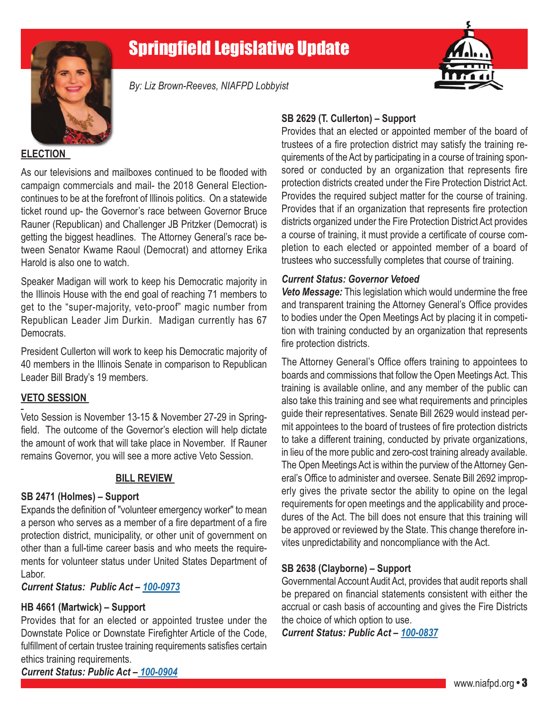## Springfield Legislative Update



*By: Liz Brown-Reeves, NIAFPD Lobbyist*



### **ELECTION**

As our televisions and mailboxes continued to be flooded with campaign commercials and mail- the 2018 General Electioncontinues to be at the forefront of Illinois politics. On a statewide ticket round up- the Governor's race between Governor Bruce Rauner (Republican) and Challenger JB Pritzker (Democrat) is getting the biggest headlines. The Attorney General's race between Senator Kwame Raoul (Democrat) and attorney Erika Harold is also one to watch.

Speaker Madigan will work to keep his Democratic majority in the Illinois House with the end goal of reaching 71 members to get to the "super-majority, veto-proof" magic number from Republican Leader Jim Durkin. Madigan currently has 67 Democrats.

President Cullerton will work to keep his Democratic majority of 40 members in the Illinois Senate in comparison to Republican Leader Bill Brady's 19 members.

#### **VETO SESSION**

Veto Session is November 13-15 & November 27-29 in Springfield. The outcome of the Governor's election will help dictate the amount of work that will take place in November. If Rauner remains Governor, you will see a more active Veto Session.

### **BILL REVIEW**

#### **SB 2471 (Holmes) – Support**

Expands the definition of "volunteer emergency worker" to mean a person who serves as a member of a fire department of a fire protection district, municipality, or other unit of government on other than a full-time career basis and who meets the requirements for volunteer status under United States Department of Labor.

*Current Status: Public Act – 100-0973*

### **HB 4661 (Martwick) – Support**

Provides that for an elected or appointed trustee under the Downstate Police or Downstate Firefighter Article of the Code, fulfillment of certain trustee training requirements satisfies certain ethics training requirements.

### **SB 2629 (T. Cullerton) – Support**

Provides that an elected or appointed member of the board of trustees of a fire protection district may satisfy the training requirements of the Act by participating in a course of training sponsored or conducted by an organization that represents fire protection districts created under the Fire Protection District Act. Provides the required subject matter for the course of training. Provides that if an organization that represents fire protection districts organized under the Fire Protection District Act provides a course of training, it must provide a certificate of course completion to each elected or appointed member of a board of trustees who successfully completes that course of training.

#### *Current Status: Governor Vetoed*

*Veto Message:* This legislation which would undermine the free and transparent training the Attorney General's Office provides to bodies under the Open Meetings Act by placing it in competition with training conducted by an organization that represents fire protection districts.

The Attorney General's Office offers training to appointees to boards and commissions that follow the Open Meetings Act. This training is available online, and any member of the public can also take this training and see what requirements and principles guide their representatives. Senate Bill 2629 would instead permit appointees to the board of trustees of fire protection districts to take a different training, conducted by private organizations, in lieu of the more public and zero-cost training already available. The Open Meetings Act is within the purview of the Attorney General's Office to administer and oversee. Senate Bill 2692 improperly gives the private sector the ability to opine on the legal requirements for open meetings and the applicability and procedures of the Act. The bill does not ensure that this training will be approved or reviewed by the State. This change therefore invites unpredictability and noncompliance with the Act.

### **SB 2638 (Clayborne) – Support**

Governmental Account Audit Act, provides that audit reports shall be prepared on financial statements consistent with either the accrual or cash basis of accounting and gives the Fire Districts the choice of which option to use.

*Current Status: Public Act – 100-0837*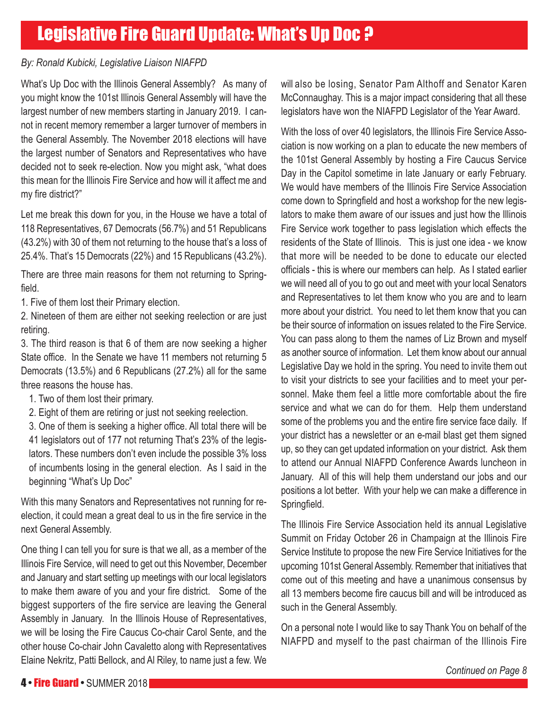## Legislative Fire Guard Update: What's Up Doc ?

### *By: Ronald Kubicki, Legislative Liaison NIAFPD*

What's Up Doc with the Illinois General Assembly? As many of you might know the 101st Illinois General Assembly will have the largest number of new members starting in January 2019. I cannot in recent memory remember a larger turnover of members in the General Assembly. The November 2018 elections will have the largest number of Senators and Representatives who have decided not to seek re-election. Now you might ask, "what does this mean for the Illinois Fire Service and how will it affect me and my fire district?"

Let me break this down for you, in the House we have a total of 118 Representatives, 67 Democrats (56.7%) and 51 Republicans (43.2%) with 30 of them not returning to the house that's a loss of 25.4%. That's 15 Democrats (22%) and 15 Republicans (43.2%).

There are three main reasons for them not returning to Springfield.

1. Five of them lost their Primary election.

2. Nineteen of them are either not seeking reelection or are just retiring.

3. The third reason is that 6 of them are now seeking a higher State office. In the Senate we have 11 members not returning 5 Democrats (13.5%) and 6 Republicans (27.2%) all for the same three reasons the house has.

- 1. Two of them lost their primary.
- 2. Eight of them are retiring or just not seeking reelection.

3. One of them is seeking a higher office. All total there will be 41 legislators out of 177 not returning That's 23% of the legislators. These numbers don't even include the possible 3% loss of incumbents losing in the general election. As I said in the beginning "What's Up Doc"

With this many Senators and Representatives not running for reelection, it could mean a great deal to us in the fire service in the next General Assembly.

One thing I can tell you for sure is that we all, as a member of the Illinois Fire Service, will need to get out this November, December and January and start setting up meetings with our local legislators to make them aware of you and your fire district. Some of the biggest supporters of the fire service are leaving the General Assembly in January. In the Illinois House of Representatives, we will be losing the Fire Caucus Co-chair Carol Sente, and the other house Co-chair John Cavaletto along with Representatives Elaine Nekritz, Patti Bellock, and Al Riley, to name just a few. We

will also be losing, Senator Pam Althoff and Senator Karen McConnaughay. This is a major impact considering that all these legislators have won the NIAFPD Legislator of the Year Award.

With the loss of over 40 legislators, the Illinois Fire Service Association is now working on a plan to educate the new members of the 101st General Assembly by hosting a Fire Caucus Service Day in the Capitol sometime in late January or early February. We would have members of the Illinois Fire Service Association come down to Springfield and host a workshop for the new legislators to make them aware of our issues and just how the Illinois Fire Service work together to pass legislation which effects the residents of the State of Illinois. This is just one idea - we know that more will be needed to be done to educate our elected officials - this is where our members can help. As I stated earlier we will need all of you to go out and meet with your local Senators and Representatives to let them know who you are and to learn more about your district. You need to let them know that you can be their source of information on issues related to the Fire Service. You can pass along to them the names of Liz Brown and myself as another source of information. Let them know about our annual Legislative Day we hold in the spring. You need to invite them out to visit your districts to see your facilities and to meet your personnel. Make them feel a little more comfortable about the fire service and what we can do for them. Help them understand some of the problems you and the entire fire service face daily. If your district has a newsletter or an e-mail blast get them signed up, so they can get updated information on your district. Ask them to attend our Annual NIAFPD Conference Awards luncheon in January. All of this will help them understand our jobs and our positions a lot better. With your help we can make a difference in Springfield.

The Illinois Fire Service Association held its annual Legislative Summit on Friday October 26 in Champaign at the Illinois Fire Service Institute to propose the new Fire Service Initiatives for the upcoming 101st General Assembly. Remember that initiatives that come out of this meeting and have a unanimous consensus by all 13 members become fire caucus bill and will be introduced as such in the General Assembly.

On a personal note I would like to say Thank You on behalf of the NIAFPD and myself to the past chairman of the Illinois Fire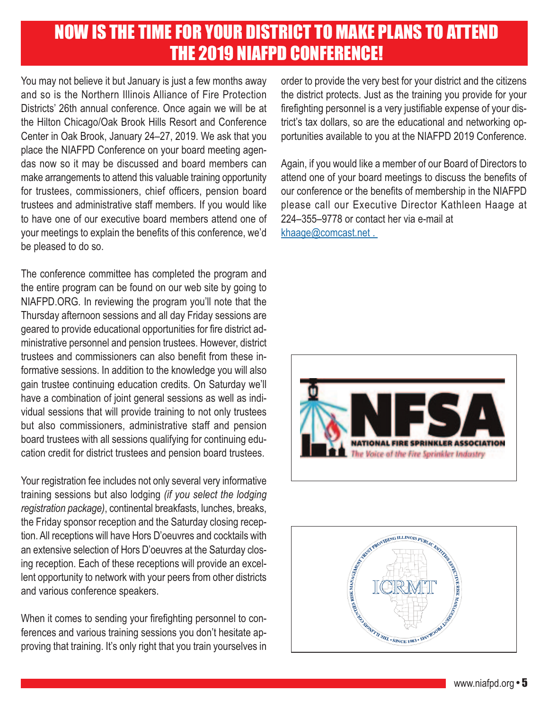## NOW IS THE TIME FOR YOUR DISTRICT TO MAKE PLANS TO ATTEND THE 2019 NIAFPD CONFERENCE!

You may not believe it but January is just a few months away and so is the Northern Illinois Alliance of Fire Protection Districts' 26th annual conference. Once again we will be at the Hilton Chicago/Oak Brook Hills Resort and Conference Center in Oak Brook, January 24–27, 2019. We ask that you place the NIAFPD Conference on your board meeting agendas now so it may be discussed and board members can make arrangements to attend this valuable training opportunity for trustees, commissioners, chief officers, pension board trustees and administrative staff members. If you would like to have one of our executive board members attend one of your meetings to explain the benefits of this conference, we'd be pleased to do so.

The conference committee has completed the program and the entire program can be found on our web site by going to NIAFPD.ORG. In reviewing the program you'll note that the Thursday afternoon sessions and all day Friday sessions are geared to provide educational opportunities for fire district administrative personnel and pension trustees. However, district trustees and commissioners can also benefit from these informative sessions. In addition to the knowledge you will also gain trustee continuing education credits. On Saturday we'll have a combination of joint general sessions as well as individual sessions that will provide training to not only trustees but also commissioners, administrative staff and pension board trustees with all sessions qualifying for continuing education credit for district trustees and pension board trustees.

Your registration fee includes not only several very informative training sessions but also lodging *(if you select the lodging registration package)*, continental breakfasts, lunches, breaks, the Friday sponsor reception and the Saturday closing reception. All receptions will have Hors D'oeuvres and cocktails with an extensive selection of Hors D'oeuvres at the Saturday closing reception. Each of these receptions will provide an excellent opportunity to network with your peers from other districts and various conference speakers.

When it comes to sending your firefighting personnel to conferences and various training sessions you don't hesitate approving that training. It's only right that you train yourselves in order to provide the very best for your district and the citizens the district protects. Just as the training you provide for your firefighting personnel is a very justifiable expense of your district's tax dollars, so are the educational and networking opportunities available to you at the NIAFPD 2019 Conference.

Again, if you would like a member of our Board of Directors to attend one of your board meetings to discuss the benefits of our conference or the benefits of membership in the NIAFPD please call our Executive Director Kathleen Haage at 224–355–9778 or contact her via e-mail at khaage@comcast.net .



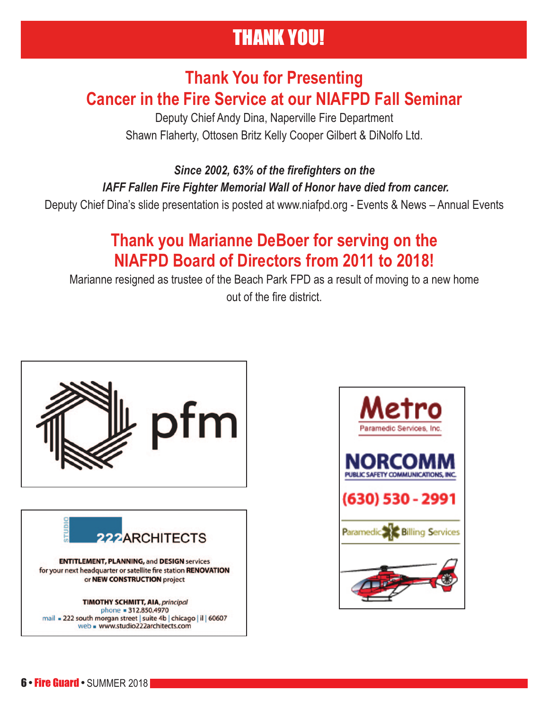# THANK YOU!

### **Thank You for Presenting Cancer in the Fire Service at our NIAFPD Fall Seminar**

Deputy Chief Andy Dina, Naperville Fire Department Shawn Flaherty, Ottosen Britz Kelly Cooper Gilbert & DiNolfo Ltd.

*Since 2002, 63% of the firefighters on the IAFF Fallen Fire Fighter Memorial Wall of Honor have died from cancer.* 

Deputy Chief Dina's slide presentation is posted at www.niafpd.org - Events & News – Annual Events

## **Thank you Marianne DeBoer for serving on the NIAFPD Board of Directors from 2011 to 2018!**

Marianne resigned as trustee of the Beach Park FPD as a result of moving to a new home out of the fire district.



or NEW CONSTRUCTION project

**TIMOTHY SCHMITT, AIA, principal** phone = 312.850.4970 mail = 222 south morgan street | suite 4b | chicago | il | 60607 web = www.studio222architects.com

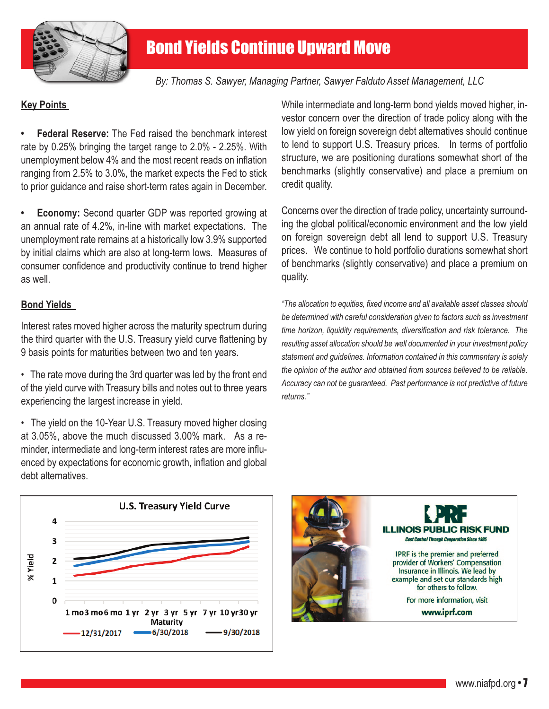

*By: Thomas S. Sawyer, Managing Partner, Sawyer Falduto Asset Management, LLC* 

### **Key Points**

**• Federal Reserve:** The Fed raised the benchmark interest rate by 0.25% bringing the target range to 2.0% - 2.25%. With unemployment below 4% and the most recent reads on inflation ranging from 2.5% to 3.0%, the market expects the Fed to stick to prior guidance and raise short-term rates again in December.

**• Economy:** Second quarter GDP was reported growing at an annual rate of 4.2%, in-line with market expectations. The unemployment rate remains at a historically low 3.9% supported by initial claims which are also at long-term lows. Measures of consumer confidence and productivity continue to trend higher as well.

### **Bond Yields**

Interest rates moved higher across the maturity spectrum during the third quarter with the U.S. Treasury yield curve flattening by 9 basis points for maturities between two and ten years.

• The rate move during the 3rd quarter was led by the front end of the yield curve with Treasury bills and notes out to three years experiencing the largest increase in yield.

• The yield on the 10-Year U.S. Treasury moved higher closing at 3.05%, above the much discussed 3.00% mark. As a reminder, intermediate and long-term interest rates are more influenced by expectations for economic growth, inflation and global debt alternatives.

While intermediate and long-term bond yields moved higher, investor concern over the direction of trade policy along with the low yield on foreign sovereign debt alternatives should continue to lend to support U.S. Treasury prices. In terms of portfolio structure, we are positioning durations somewhat short of the benchmarks (slightly conservative) and place a premium on credit quality.

Concerns over the direction of trade policy, uncertainty surrounding the global political/economic environment and the low yield on foreign sovereign debt all lend to support U.S. Treasury prices. We continue to hold portfolio durations somewhat short of benchmarks (slightly conservative) and place a premium on quality.

*"The allocation to equities, fixed income and all available asset classes should be determined with careful consideration given to factors such as investment time horizon, liquidity requirements, diversification and risk tolerance. The resulting asset allocation should be well documented in your investment policy statement and guidelines. Information contained in this commentary is solely the opinion of the author and obtained from sources believed to be reliable. Accuracy can not be guaranteed. Past performance is not predictive of future returns."* 



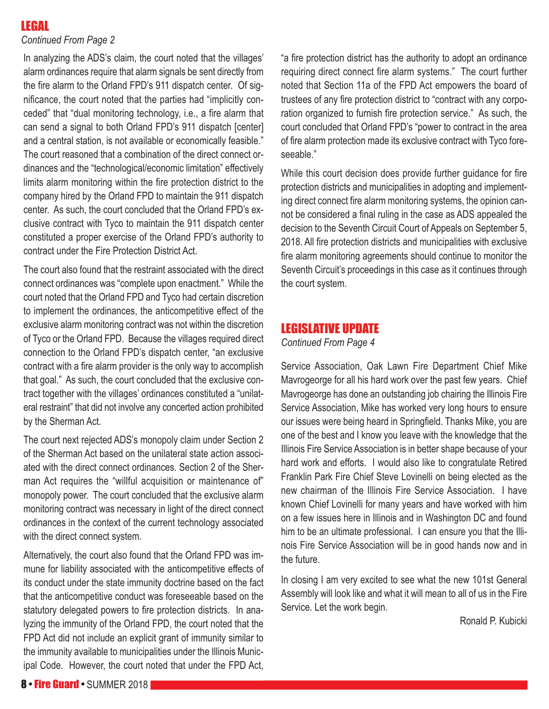### LEGAL

### *Continued From Page 2*

In analyzing the ADS's claim, the court noted that the villages' alarm ordinances require that alarm signals be sent directly from the fire alarm to the Orland FPD's 911 dispatch center. Of significance, the court noted that the parties had "implicitly conceded" that "dual monitoring technology, i.e., a fire alarm that can send a signal to both Orland FPD's 911 dispatch [center] and a central station, is not available or economically feasible." The court reasoned that a combination of the direct connect ordinances and the "technological/economic limitation" effectively limits alarm monitoring within the fire protection district to the company hired by the Orland FPD to maintain the 911 dispatch center. As such, the court concluded that the Orland FPD's exclusive contract with Tyco to maintain the 911 dispatch center constituted a proper exercise of the Orland FPD's authority to contract under the Fire Protection District Act.

The court also found that the restraint associated with the direct connect ordinances was "complete upon enactment." While the court noted that the Orland FPD and Tyco had certain discretion to implement the ordinances, the anticompetitive effect of the exclusive alarm monitoring contract was not within the discretion of Tyco or the Orland FPD. Because the villages required direct connection to the Orland FPD's dispatch center, "an exclusive contract with a fire alarm provider is the only way to accomplish that goal." As such, the court concluded that the exclusive contract together with the villages' ordinances constituted a "unilateral restraint" that did not involve any concerted action prohibited by the Sherman Act.

The court next rejected ADS's monopoly claim under Section 2 of the Sherman Act based on the unilateral state action associated with the direct connect ordinances. Section 2 of the Sherman Act requires the "willful acquisition or maintenance of" monopoly power. The court concluded that the exclusive alarm monitoring contract was necessary in light of the direct connect ordinances in the context of the current technology associated with the direct connect system.

Alternatively, the court also found that the Orland FPD was immune for liability associated with the anticompetitive effects of its conduct under the state immunity doctrine based on the fact that the anticompetitive conduct was foreseeable based on the statutory delegated powers to fire protection districts. In analyzing the immunity of the Orland FPD, the court noted that the FPD Act did not include an explicit grant of immunity similar to the immunity available to municipalities under the Illinois Municipal Code. However, the court noted that under the FPD Act,

"a fire protection district has the authority to adopt an ordinance requiring direct connect fire alarm systems." The court further noted that Section 11a of the FPD Act empowers the board of trustees of any fire protection district to "contract with any corporation organized to furnish fire protection service." As such, the court concluded that Orland FPD's "power to contract in the area of fire alarm protection made its exclusive contract with Tyco foreseeable."

While this court decision does provide further guidance for fire protection districts and municipalities in adopting and implementing direct connect fire alarm monitoring systems, the opinion cannot be considered a final ruling in the case as ADS appealed the decision to the Seventh Circuit Court of Appeals on September 5, 2018. All fire protection districts and municipalities with exclusive fire alarm monitoring agreements should continue to monitor the Seventh Circuit's proceedings in this case as it continues through the court system.

### LEGISLATIVE UPDATE

*Continued From Page 4*

Service Association, Oak Lawn Fire Department Chief Mike Mavrogeorge for all his hard work over the past few years. Chief Mavrogeorge has done an outstanding job chairing the Illinois Fire Service Association, Mike has worked very long hours to ensure our issues were being heard in Springfield. Thanks Mike, you are one of the best and I know you leave with the knowledge that the Illinois Fire Service Association is in better shape because of your hard work and efforts. I would also like to congratulate Retired Franklin Park Fire Chief Steve Lovinelli on being elected as the new chairman of the Illinois Fire Service Association. I have known Chief Lovinelli for many years and have worked with him on a few issues here in Illinois and in Washington DC and found him to be an ultimate professional. I can ensure you that the Illinois Fire Service Association will be in good hands now and in the future.

In closing I am very excited to see what the new 101st General Assembly will look like and what it will mean to all of us in the Fire Service. Let the work begin.

Ronald P. Kubicki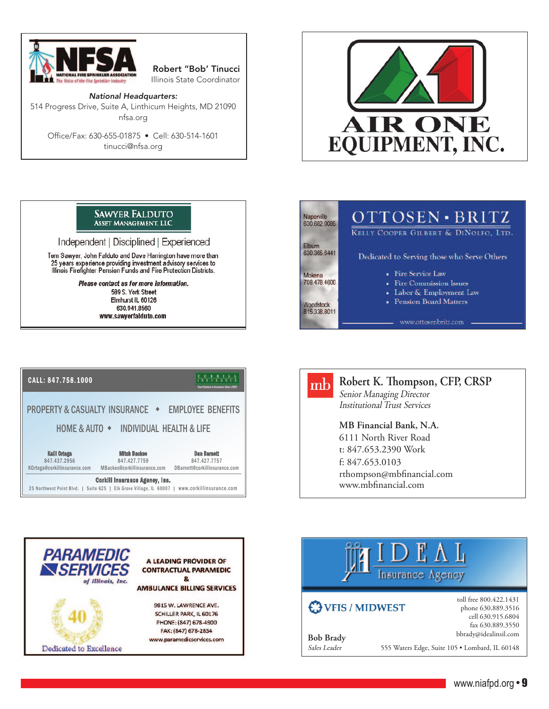

Robert "Bob' Tinucci Illinois State Coordinator

National Headquarters: 514 Progress Drive, Suite A, Linthicum Heights, MD 21090 nfsa.org

Office/Fax: 630-655-01875 • Cell: 630-514-1601 tinucci@nfsa.org



#### **SAWYER FALDUTO ASSET MANAGEMENT, LLC**

Independent | Disciplined | Experienced

Tom Sawyer, John Falduto and Dave Harrington have more than 25 years experience providing investment advisory services to<br>Illinois Firefighter Pension Funds and Fire Protection Districts.

> Please contact us for more information. 589 S. York Street Elmhurst IL 60126 630.941.8560 www.sawyerfalduto.com







### **Robert K. Thompson, CFP, CRSP**  Senior Managing Director

Institutional Trust Services

**MB Financial Bank, N.A.** 6111 North River Road t: 847.653.2390 Work f: 847.653.0103 rthompson@mbfinancial.com www.mbfinancial.com